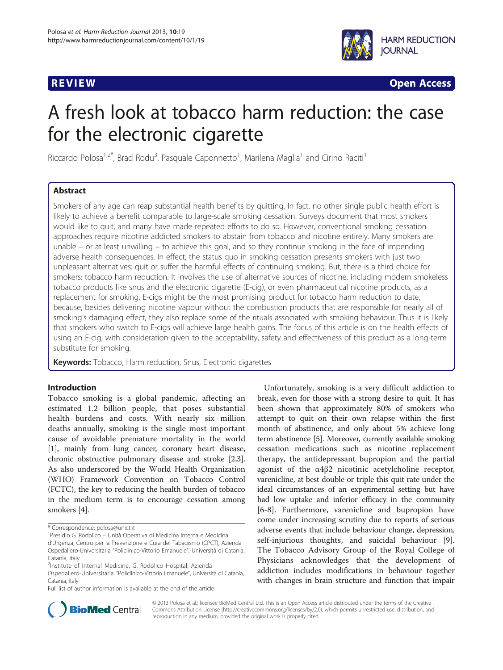

**REVIEW CONSTRUCTION CONSTRUCTION CONSTRUCTS** 

# A fresh look at tobacco harm reduction: the case for the electronic cigarette

Riccardo Polosa<sup>1,2\*</sup>, Brad Rodu<sup>3</sup>, Pasquale Caponnetto<sup>1</sup>, Marilena Maglia<sup>1</sup> and Cirino Raciti<sup>1</sup>

# Abstract

Smokers of any age can reap substantial health benefits by quitting. In fact, no other single public health effort is likely to achieve a benefit comparable to large-scale smoking cessation. Surveys document that most smokers would like to quit, and many have made repeated efforts to do so. However, conventional smoking cessation approaches require nicotine addicted smokers to abstain from tobacco and nicotine entirely. Many smokers are unable – or at least unwilling – to achieve this goal, and so they continue smoking in the face of impending adverse health consequences. In effect, the status quo in smoking cessation presents smokers with just two unpleasant alternatives: quit or suffer the harmful effects of continuing smoking. But, there is a third choice for smokers: tobacco harm reduction. It involves the use of alternative sources of nicotine, including modern smokeless tobacco products like snus and the electronic cigarette (E-cig), or even pharmaceutical nicotine products, as a replacement for smoking. E-cigs might be the most promising product for tobacco harm reduction to date, because, besides delivering nicotine vapour without the combustion products that are responsible for nearly all of smoking's damaging effect, they also replace some of the rituals associated with smoking behaviour. Thus it is likely that smokers who switch to E-cigs will achieve large health gains. The focus of this article is on the health effects of using an E-cig, with consideration given to the acceptability, safety and effectiveness of this product as a long-term substitute for smoking.

Keywords: Tobacco, Harm reduction, Snus, Electronic cigarettes

# Introduction

Tobacco smoking is a global pandemic, affecting an estimated 1.2 billion people, that poses substantial health burdens and costs. With nearly six million deaths annually, smoking is the single most important cause of avoidable premature mortality in the world [[1\]](#page-8-0), mainly from lung cancer, coronary heart disease, chronic obstructive pulmonary disease and stroke [[2](#page-8-0),[3](#page-8-0)]. As also underscored by the World Health Organization (WHO) Framework Convention on Tobacco Control (FCTC), the key to reducing the health burden of tobacco in the medium term is to encourage cessation among smokers [[4](#page-8-0)].

Unfortunately, smoking is a very difficult addiction to break, even for those with a strong desire to quit. It has been shown that approximately 80% of smokers who attempt to quit on their own relapse within the first month of abstinence, and only about 5% achieve long term abstinence [\[5\]](#page-8-0). Moreover, currently available smoking cessation medications such as nicotine replacement therapy, the antidepressant bupropion and the partial agonist of the α4β2 nicotinic acetylcholine receptor, varenicline, at best double or triple this quit rate under the ideal circumstances of an experimental setting but have had low uptake and inferior efficacy in the community [[6-8\]](#page-8-0). Furthermore, varenicline and bupropion have come under increasing scrutiny due to reports of serious adverse events that include behaviour change, depression, self-injurious thoughts, and suicidal behaviour [\[9](#page-8-0)]. The Tobacco Advisory Group of the Royal College of Physicians acknowledges that the development of addiction includes modifications in behaviour together with changes in brain structure and function that impair



© 2013 Polosa et al.; licensee BioMed Central Ltd. This is an Open Access article distributed under the terms of the Creative Commons Attribution License [\(http://creativecommons.org/licenses/by/2.0\)](http://creativecommons.org/licenses/by/2.0), which permits unrestricted use, distribution, and reproduction in any medium, provided the original work is properly cited.

<sup>\*</sup> Correspondence: [polosa@unict.it](mailto:polosa@unict.it) <sup>1</sup>

<sup>&</sup>lt;sup>1</sup> Presidio G. Rodolico – Unità Operativa di Medicina Interna e Medicina d'Urgenza, Centro per la Prevenzione e Cura del Tabagismo (CPCT), Azienda Ospedaliero-Universitaria "Policlinico-Vittorio Emanuele", Università di Catania, Catania, Italy

<sup>&</sup>lt;sup>2</sup>Institute of Internal Medicine, G. Rodolico Hospital, Azienda

Ospedaliero-Universitaria "Policlinico-Vittorio Emanuele", Università di Catania, Catania, Italy

Full list of author information is available at the end of the article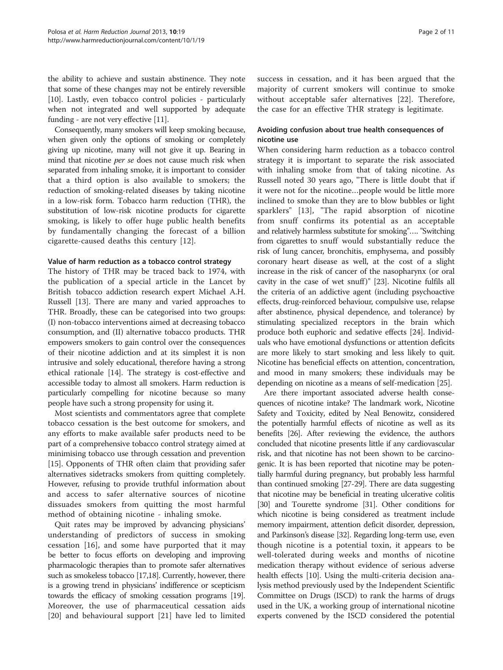the ability to achieve and sustain abstinence. They note that some of these changes may not be entirely reversible [[10](#page-8-0)]. Lastly, even tobacco control policies - particularly when not integrated and well supported by adequate funding - are not very effective [\[11\]](#page-8-0).

Consequently, many smokers will keep smoking because, when given only the options of smoking or completely giving up nicotine, many will not give it up. Bearing in mind that nicotine per se does not cause much risk when separated from inhaling smoke, it is important to consider that a third option is also available to smokers; the reduction of smoking-related diseases by taking nicotine in a low-risk form. Tobacco harm reduction (THR), the substitution of low-risk nicotine products for cigarette smoking, is likely to offer huge public health benefits by fundamentally changing the forecast of a billion cigarette-caused deaths this century [\[12](#page-8-0)].

# Value of harm reduction as a tobacco control strategy

The history of THR may be traced back to 1974, with the publication of a special article in the Lancet by British tobacco addiction research expert Michael A.H. Russell [\[13\]](#page-8-0). There are many and varied approaches to THR. Broadly, these can be categorised into two groups: (I) non-tobacco interventions aimed at decreasing tobacco consumption, and (II) alternative tobacco products. THR empowers smokers to gain control over the consequences of their nicotine addiction and at its simplest it is non intrusive and solely educational, therefore having a strong ethical rationale [[14](#page-8-0)]. The strategy is cost-effective and accessible today to almost all smokers. Harm reduction is particularly compelling for nicotine because so many people have such a strong propensity for using it.

Most scientists and commentators agree that complete tobacco cessation is the best outcome for smokers, and any efforts to make available safer products need to be part of a comprehensive tobacco control strategy aimed at minimising tobacco use through cessation and prevention [[15](#page-8-0)]. Opponents of THR often claim that providing safer alternatives sidetracks smokers from quitting completely. However, refusing to provide truthful information about and access to safer alternative sources of nicotine dissuades smokers from quitting the most harmful method of obtaining nicotine - inhaling smoke.

Quit rates may be improved by advancing physicians' understanding of predictors of success in smoking cessation [[16\]](#page-8-0), and some have purported that it may be better to focus efforts on developing and improving pharmacologic therapies than to promote safer alternatives such as smokeless tobacco [\[17,18\]](#page-8-0). Currently, however, there is a growing trend in physicians' indifference or scepticism towards the efficacy of smoking cessation programs [\[19](#page-8-0)]. Moreover, the use of pharmaceutical cessation aids [[20\]](#page-8-0) and behavioural support [\[21](#page-8-0)] have led to limited success in cessation, and it has been argued that the majority of current smokers will continue to smoke without acceptable safer alternatives [[22\]](#page-8-0). Therefore, the case for an effective THR strategy is legitimate.

# Avoiding confusion about true health consequences of nicotine use

When considering harm reduction as a tobacco control strategy it is important to separate the risk associated with inhaling smoke from that of taking nicotine. As Russell noted 30 years ago, "There is little doubt that if it were not for the nicotine…people would be little more inclined to smoke than they are to blow bubbles or light sparklers" [\[13\]](#page-8-0), "The rapid absorption of nicotine from snuff confirms its potential as an acceptable and relatively harmless substitute for smoking"…. "Switching from cigarettes to snuff would substantially reduce the risk of lung cancer, bronchitis, emphysema, and possibly coronary heart disease as well, at the cost of a slight increase in the risk of cancer of the nasopharynx (or oral cavity in the case of wet snuff)" [[23](#page-8-0)]. Nicotine fulfils all the criteria of an addictive agent (including psychoactive effects, drug-reinforced behaviour, compulsive use, relapse after abstinence, physical dependence, and tolerance) by stimulating specialized receptors in the brain which produce both euphoric and sedative effects [\[24](#page-8-0)]. Individuals who have emotional dysfunctions or attention deficits are more likely to start smoking and less likely to quit. Nicotine has beneficial effects on attention, concentration, and mood in many smokers; these individuals may be depending on nicotine as a means of self-medication [[25](#page-8-0)].

Are there important associated adverse health consequences of nicotine intake? The landmark work, Nicotine Safety and Toxicity, edited by Neal Benowitz, considered the potentially harmful effects of nicotine as well as its benefits [[26\]](#page-9-0). After reviewing the evidence, the authors concluded that nicotine presents little if any cardiovascular risk, and that nicotine has not been shown to be carcinogenic. It is has been reported that nicotine may be potentially harmful during pregnancy, but probably less harmful than continued smoking [\[27](#page-9-0)-[29](#page-9-0)]. There are data suggesting that nicotine may be beneficial in treating ulcerative colitis [[30](#page-9-0)] and Tourette syndrome [\[31\]](#page-9-0). Other conditions for which nicotine is being considered as treatment include memory impairment, attention deficit disorder, depression, and Parkinson's disease [[32\]](#page-9-0). Regarding long-term use, even though nicotine is a potential toxin, it appears to be well-tolerated during weeks and months of nicotine medication therapy without evidence of serious adverse health effects [[10](#page-8-0)]. Using the multi-criteria decision analysis method previously used by the Independent Scientific Committee on Drugs (ISCD) to rank the harms of drugs used in the UK, a working group of international nicotine experts convened by the ISCD considered the potential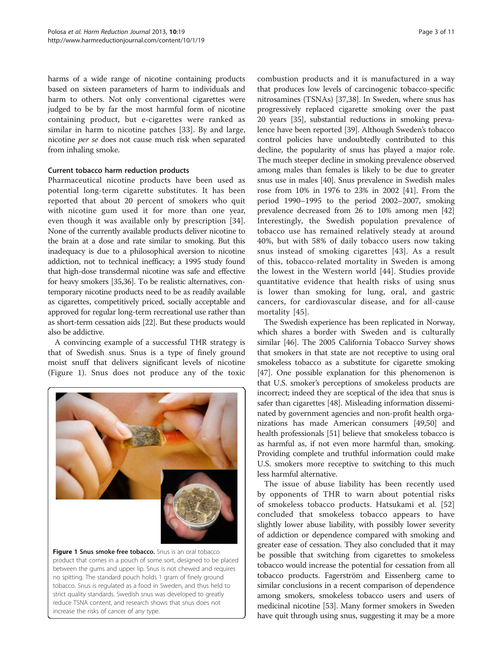harms of a wide range of nicotine containing products based on sixteen parameters of harm to individuals and harm to others. Not only conventional cigarettes were judged to be by far the most harmful form of nicotine containing product, but e-cigarettes were ranked as similar in harm to nicotine patches [\[33](#page-9-0)]. By and large, nicotine per se does not cause much risk when separated from inhaling smoke.

# Current tobacco harm reduction products

Pharmaceutical nicotine products have been used as potential long-term cigarette substitutes. It has been reported that about 20 percent of smokers who quit with nicotine gum used it for more than one year, even though it was available only by prescription [\[34](#page-9-0)]. None of the currently available products deliver nicotine to the brain at a dose and rate similar to smoking. But this inadequacy is due to a philosophical aversion to nicotine addiction, not to technical inefficacy; a 1995 study found that high-dose transdermal nicotine was safe and effective for heavy smokers [[35,36\]](#page-9-0). To be realistic alternatives, contemporary nicotine products need to be as readily available as cigarettes, competitively priced, socially acceptable and approved for regular long-term recreational use rather than as short-term cessation aids [[22](#page-8-0)]. But these products would also be addictive.

A convincing example of a successful THR strategy is that of Swedish snus. Snus is a type of finely ground moist snuff that delivers significant levels of nicotine (Figure 1). Snus does not produce any of the toxic



**Figure 1 Snus smoke-free tobacco.** Snus is an oral tobacco product that comes in a pouch of some sort, designed to be placed between the gums and upper lip. Snus is not chewed and requires no spitting. The standard pouch holds 1 gram of finely ground tobacco. Snus is regulated as a food in Sweden, and thus held to strict quality standards. Swedish snus was developed to greatly reduce TSNA content, and research shows that snus does not increase the risks of cancer of any type.

combustion products and it is manufactured in a way that produces low levels of carcinogenic tobacco-specific nitrosamines (TSNAs) [[37,38](#page-9-0)]. In Sweden, where snus has progressively replaced cigarette smoking over the past 20 years [\[35\]](#page-9-0), substantial reductions in smoking prevalence have been reported [[39\]](#page-9-0). Although Sweden's tobacco control policies have undoubtedly contributed to this decline, the popularity of snus has played a major role. The much steeper decline in smoking prevalence observed among males than females is likely to be due to greater snus use in males [[40](#page-9-0)]. Snus prevalence in Swedish males rose from 10% in 1976 to 23% in 2002 [\[41\]](#page-9-0). From the period 1990–1995 to the period 2002–2007, smoking prevalence decreased from 26 to 10% among men [[42](#page-9-0)] Interestingly, the Swedish population prevalence of tobacco use has remained relatively steady at around 40%, but with 58% of daily tobacco users now taking snus instead of smoking cigarettes [[43\]](#page-9-0). As a result of this, tobacco-related mortality in Sweden is among the lowest in the Western world [[44](#page-9-0)]. Studies provide quantitative evidence that health risks of using snus is lower than smoking for lung, oral, and gastric cancers, for cardiovascular disease, and for all-cause mortality [[45\]](#page-9-0).

The Swedish experience has been replicated in Norway, which shares a border with Sweden and is culturally similar [\[46\]](#page-9-0). The 2005 California Tobacco Survey shows that smokers in that state are not receptive to using oral smokeless tobacco as a substitute for cigarette smoking [[47](#page-9-0)]. One possible explanation for this phenomenon is that U.S. smoker's perceptions of smokeless products are incorrect; indeed they are sceptical of the idea that snus is safer than cigarettes [[48](#page-9-0)]. Misleading information disseminated by government agencies and non-profit health organizations has made American consumers [\[49,50](#page-9-0)] and health professionals [\[51\]](#page-9-0) believe that smokeless tobacco is as harmful as, if not even more harmful than, smoking. Providing complete and truthful information could make U.S. smokers more receptive to switching to this much less harmful alternative.

The issue of abuse liability has been recently used by opponents of THR to warn about potential risks of smokeless tobacco products. Hatsukami et al. [\[52](#page-9-0)] concluded that smokeless tobacco appears to have slightly lower abuse liability, with possibly lower severity of addiction or dependence compared with smoking and greater ease of cessation. They also concluded that it may be possible that switching from cigarettes to smokeless tobacco would increase the potential for cessation from all tobacco products. Fagerström and Eissenberg came to similar conclusions in a recent comparison of dependence among smokers, smokeless tobacco users and users of medicinal nicotine [\[53](#page-9-0)]. Many former smokers in Sweden have quit through using snus, suggesting it may be a more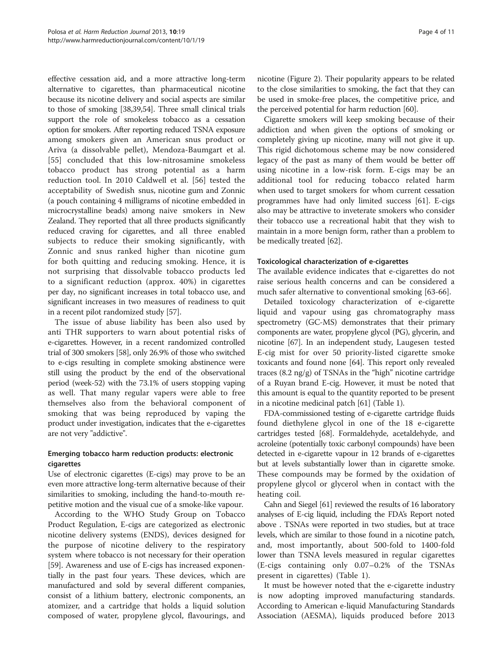effective cessation aid, and a more attractive long-term alternative to cigarettes, than pharmaceutical nicotine because its nicotine delivery and social aspects are similar to those of smoking [\[38,39,54](#page-9-0)]. Three small clinical trials support the role of smokeless tobacco as a cessation option for smokers. After reporting reduced TSNA exposure among smokers given an American snus product or Ariva (a dissolvable pellet), Mendoza-Baumgart et al. [[55\]](#page-9-0) concluded that this low-nitrosamine smokeless tobacco product has strong potential as a harm reduction tool. In 2010 Caldwell et al. [[56\]](#page-9-0) tested the acceptability of Swedish snus, nicotine gum and Zonnic (a pouch containing 4 milligrams of nicotine embedded in microcrystalline beads) among naive smokers in New Zealand. They reported that all three products significantly reduced craving for cigarettes, and all three enabled subjects to reduce their smoking significantly, with Zonnic and snus ranked higher than nicotine gum for both quitting and reducing smoking. Hence, it is not surprising that dissolvable tobacco products led to a significant reduction (approx. 40%) in cigarettes per day, no significant increases in total tobacco use, and significant increases in two measures of readiness to quit in a recent pilot randomized study [[57\]](#page-9-0).

The issue of abuse liability has been also used by anti THR supporters to warn about potential risks of e-cigarettes. However, in a recent randomized controlled trial of 300 smokers [\[58\]](#page-9-0), only 26.9% of those who switched to e-cigs resulting in complete smoking abstinence were still using the product by the end of the observational period (week-52) with the 73.1% of users stopping vaping as well. That many regular vapers were able to free themselves also from the behavioral component of smoking that was being reproduced by vaping the product under investigation, indicates that the e-cigarettes are not very "addictive".

# Emerging tobacco harm reduction products: electronic cigarettes

Use of electronic cigarettes (E-cigs) may prove to be an even more attractive long-term alternative because of their similarities to smoking, including the hand-to-mouth repetitive motion and the visual cue of a smoke-like vapour.

According to the WHO Study Group on Tobacco Product Regulation, E-cigs are categorized as electronic nicotine delivery systems (ENDS), devices designed for the purpose of nicotine delivery to the respiratory system where tobacco is not necessary for their operation [[59](#page-9-0)]. Awareness and use of E-cigs has increased exponentially in the past four years. These devices, which are manufactured and sold by several different companies, consist of a lithium battery, electronic components, an atomizer, and a cartridge that holds a liquid solution composed of water, propylene glycol, flavourings, and nicotine (Figure [2](#page-4-0)). Their popularity appears to be related to the close similarities to smoking, the fact that they can be used in smoke-free places, the competitive price, and the perceived potential for harm reduction [\[60](#page-9-0)].

Cigarette smokers will keep smoking because of their addiction and when given the options of smoking or completely giving up nicotine, many will not give it up. This rigid dichotomous scheme may be now considered legacy of the past as many of them would be better off using nicotine in a low-risk form. E-cigs may be an additional tool for reducing tobacco related harm when used to target smokers for whom current cessation programmes have had only limited success [[61](#page-9-0)]. E-cigs also may be attractive to inveterate smokers who consider their tobacco use a recreational habit that they wish to maintain in a more benign form, rather than a problem to be medically treated [[62](#page-9-0)].

# Toxicological characterization of e-cigarettes

The available evidence indicates that e-cigarettes do not raise serious health concerns and can be considered a much safer alternative to conventional smoking [[63-66](#page-9-0)].

Detailed toxicology characterization of e-cigarette liquid and vapour using gas chromatography mass spectrometry (GC-MS) demonstrates that their primary components are water, propylene glycol (PG), glycerin, and nicotine [[67](#page-9-0)]. In an independent study, Laugesen tested E-cig mist for over 50 priority-listed cigarette smoke toxicants and found none [[64](#page-9-0)]. This report only revealed traces  $(8.2 \text{ ng/g})$  of TSNAs in the "high" nicotine cartridge of a Ruyan brand E-cig. However, it must be noted that this amount is equal to the quantity reported to be present in a nicotine medicinal patch [\[61\]](#page-9-0) (Table [1](#page-4-0)).

FDA-commissioned testing of e-cigarette cartridge fluids found diethylene glycol in one of the 18 e-cigarette cartridges tested [\[68\]](#page-9-0). Formaldehyde, acetaldehyde, and acroleine (potentially toxic carbonyl compounds) have been detected in e-cigarette vapour in 12 brands of e-cigarettes but at levels substantially lower than in cigarette smoke. These compounds may be formed by the oxidation of propylene glycol or glycerol when in contact with the heating coil.

Cahn and Siegel [\[61\]](#page-9-0) reviewed the results of 16 laboratory analyses of E-cig liquid, including the FDA's Report noted above . TSNAs were reported in two studies, but at trace levels, which are similar to those found in a nicotine patch, and, most importantly, about 500-fold to 1400-fold lower than TSNA levels measured in regular cigarettes (E-cigs containing only 0.07–0.2% of the TSNAs present in cigarettes) (Table [1\)](#page-4-0).

It must be however noted that the e-cigarette industry is now adopting improved manufacturing standards. According to American e-liquid Manufacturing Standards Association (AESMA), liquids produced before 2013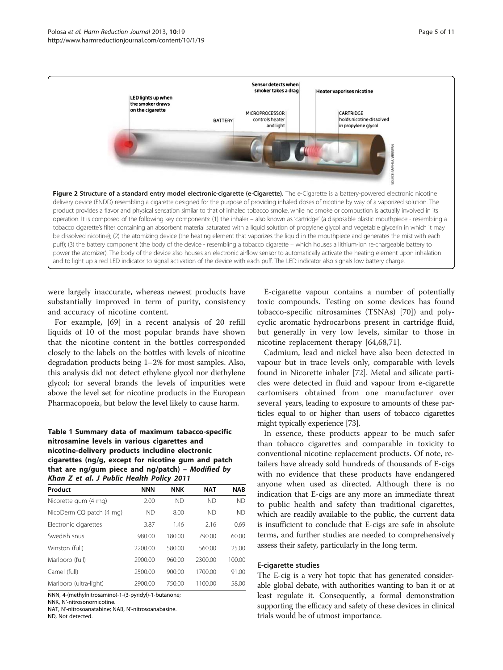<span id="page-4-0"></span>

were largely inaccurate, whereas newest products have substantially improved in term of purity, consistency and accuracy of nicotine content.

For example, [\[69](#page-9-0)] in a recent analysis of 20 refill liquids of 10 of the most popular brands have shown that the nicotine content in the bottles corresponded closely to the labels on the bottles with levels of nicotine degradation products being 1–2% for most samples. Also, this analysis did not detect ethylene glycol nor diethylene glycol; for several brands the levels of impurities were above the level set for nicotine products in the European Pharmacopoeia, but below the level likely to cause harm.

# Table 1 Summary data of maximum tabacco-specific nitrosamine levels in various cigarettes and nicotine-delivery products includine electronic cigarettes (ng/g, except for nicotine gum and patch that are ng/gum piece and ng/patch) – Modified by Khan Z et al. J Public Health Policy 2011

| Product                  | <b>NNN</b> | <b>NNK</b> | <b>NAT</b> | <b>NAB</b> |
|--------------------------|------------|------------|------------|------------|
| Nicorette gum (4 mg)     | 2.00       | ND         | ND         | <b>ND</b>  |
| NicoDerm CQ patch (4 mg) | ND         | 8.00       | ND         | ND.        |
| Electronic cigarettes    | 3.87       | 1.46       | 2.16       | 0.69       |
| Swedish snus             | 980.00     | 180.00     | 790.00     | 60.00      |
| Winston (full)           | 2200.00    | 580.00     | 560.00     | 25.00      |
| Marlboro (full)          | 2900.00    | 960.00     | 2300.00    | 100.00     |
| Camel (full)             | 2500.00    | 900.00     | 1700.00    | 91.00      |
| Marlboro (ultra-light)   | 2900.00    | 750.00     | 1100.00    | 58.00      |

NNN, 4-(methylnitrosamino)-1-(3-pyridyl)-1-butanone;

NNK, N'-nitrosonornicotine.

NAT, N'-nitrosoanatabine; NAB, N'-nitrosoanabasine. ND, Not detected.

E-cigarette vapour contains a number of potentially toxic compounds. Testing on some devices has found tobacco-specific nitrosamines (TSNAs) [[70\]](#page-9-0)) and polycyclic aromatic hydrocarbons present in cartridge fluid, but generally in very low levels, similar to those in nicotine replacement therapy [[64,68,71](#page-9-0)].

Cadmium, lead and nickel have also been detected in vapour but in trace levels only, comparable with levels found in Nicorette inhaler [\[72](#page-9-0)]. Metal and silicate particles were detected in fluid and vapour from e-cigarette cartomisers obtained from one manufacturer over several years, leading to exposure to amounts of these particles equal to or higher than users of tobacco cigarettes might typically experience [\[73\]](#page-9-0).

In essence, these products appear to be much safer than tobacco cigarettes and comparable in toxicity to conventional nicotine replacement products. Of note, retailers have already sold hundreds of thousands of E-cigs with no evidence that these products have endangered anyone when used as directed. Although there is no indication that E-cigs are any more an immediate threat to public health and safety than traditional cigarettes, which are readily available to the public, the current data is insufficient to conclude that E-cigs are safe in absolute terms, and further studies are needed to comprehensively assess their safety, particularly in the long term.

#### E-cigarette studies

The E-cig is a very hot topic that has generated considerable global debate, with authorities wanting to ban it or at least regulate it. Consequently, a formal demonstration supporting the efficacy and safety of these devices in clinical trials would be of utmost importance.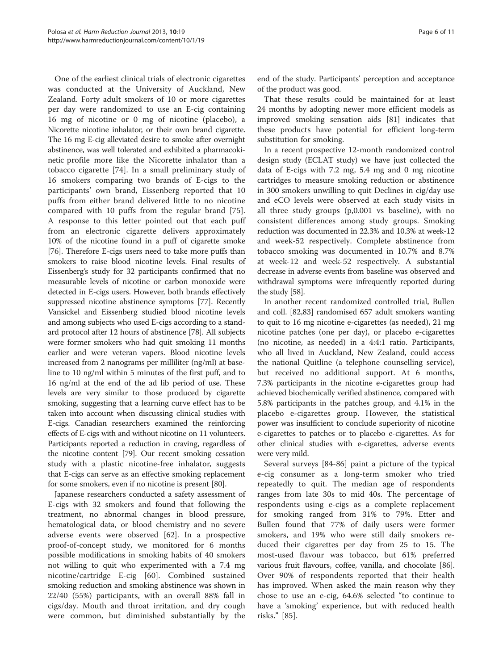One of the earliest clinical trials of electronic cigarettes was conducted at the University of Auckland, New Zealand. Forty adult smokers of 10 or more cigarettes per day were randomized to use an E-cig containing 16 mg of nicotine or 0 mg of nicotine (placebo), a Nicorette nicotine inhalator, or their own brand cigarette. The 16 mg E-cig alleviated desire to smoke after overnight abstinence, was well tolerated and exhibited a pharmacokinetic profile more like the Nicorette inhalator than a tobacco cigarette [\[74](#page-9-0)]. In a small preliminary study of 16 smokers comparing two brands of E-cigs to the participants' own brand, Eissenberg reported that 10 puffs from either brand delivered little to no nicotine compared with 10 puffs from the regular brand [\[75](#page-9-0)]. A response to this letter pointed out that each puff from an electronic cigarette delivers approximately 10% of the nicotine found in a puff of cigarette smoke [[76](#page-10-0)]. Therefore E-cigs users need to take more puffs than smokers to raise blood nicotine levels. Final results of Eissenberg's study for 32 participants confirmed that no measurable levels of nicotine or carbon monoxide were detected in E-cigs users. However, both brands effectively suppressed nicotine abstinence symptoms [\[77\]](#page-10-0). Recently Vansickel and Eissenberg studied blood nicotine levels and among subjects who used E-cigs according to a standard protocol after 12 hours of abstinence [\[78](#page-10-0)]. All subjects were former smokers who had quit smoking 11 months earlier and were veteran vapers. Blood nicotine levels increased from 2 nanograms per milliliter (ng/ml) at baseline to 10 ng/ml within 5 minutes of the first puff, and to 16 ng/ml at the end of the ad lib period of use. These levels are very similar to those produced by cigarette smoking, suggesting that a learning curve effect has to be taken into account when discussing clinical studies with E-cigs. Canadian researchers examined the reinforcing effects of E-cigs with and without nicotine on 11 volunteers. Participants reported a reduction in craving, regardless of the nicotine content [[79](#page-10-0)]. Our recent smoking cessation study with a plastic nicotine-free inhalator, suggests that E-cigs can serve as an effective smoking replacement for some smokers, even if no nicotine is present [[80](#page-10-0)].

Japanese researchers conducted a safety assessment of E-cigs with 32 smokers and found that following the treatment, no abnormal changes in blood pressure, hematological data, or blood chemistry and no severe adverse events were observed [[62\]](#page-9-0). In a prospective proof-of-concept study, we monitored for 6 months possible modifications in smoking habits of 40 smokers not willing to quit who experimented with a 7.4 mg nicotine/cartridge E-cig [\[60](#page-9-0)]. Combined sustained smoking reduction and smoking abstinence was shown in 22/40 (55%) participants, with an overall 88% fall in cigs/day. Mouth and throat irritation, and dry cough were common, but diminished substantially by the

end of the study. Participants' perception and acceptance of the product was good.

That these results could be maintained for at least 24 months by adopting newer more efficient models as improved smoking sensation aids [[81\]](#page-10-0) indicates that these products have potential for efficient long-term substitution for smoking.

In a recent prospective 12-month randomized control design study (ECLAT study) we have just collected the data of E-cigs with 7.2 mg, 5.4 mg and 0 mg nicotine cartridges to measure smoking reduction or abstinence in 300 smokers unwilling to quit Declines in cig/day use and eCO levels were observed at each study visits in all three study groups (p,0.001 vs baseline), with no consistent differences among study groups. Smoking reduction was documented in 22.3% and 10.3% at week-12 and week-52 respectively. Complete abstinence from tobacco smoking was documented in 10.7% and 8.7% at week-12 and week-52 respectively. A substantial decrease in adverse events from baseline was observed and withdrawal symptoms were infrequently reported during the study [[58](#page-9-0)].

In another recent randomized controlled trial, Bullen and coll. [[82](#page-10-0),[83](#page-10-0)] randomised 657 adult smokers wanting to quit to 16 mg nicotine e-cigarettes (as needed), 21 mg nicotine patches (one per day), or placebo e-cigarettes (no nicotine, as needed) in a 4:4:1 ratio. Participants, who all lived in Auckland, New Zealand, could access the national Quitline (a telephone counselling service), but received no additional support. At 6 months, 7.3% participants in the nicotine e-cigarettes group had achieved biochemically verified abstinence, compared with 5.8% participants in the patches group, and 4.1% in the placebo e-cigarettes group. However, the statistical power was insufficient to conclude superiority of nicotine e-cigarettes to patches or to placebo e-cigarettes. As for other clinical studies with e-cigarettes, adverse events were very mild.

Several surveys [\[84](#page-10-0)-[86](#page-10-0)] paint a picture of the typical e-cig consumer as a long-term smoker who tried repeatedly to quit. The median age of respondents ranges from late 30s to mid 40s. The percentage of respondents using e-cigs as a complete replacement for smoking ranged from 31% to 79%. Etter and Bullen found that 77% of daily users were former smokers, and 19% who were still daily smokers reduced their cigarettes per day from 25 to 15. The most-used flavour was tobacco, but 61% preferred various fruit flavours, coffee, vanilla, and chocolate [[86](#page-10-0)]. Over 90% of respondents reported that their health has improved. When asked the main reason why they chose to use an e-cig, 64.6% selected "to continue to have a 'smoking' experience, but with reduced health risks." [[85](#page-10-0)].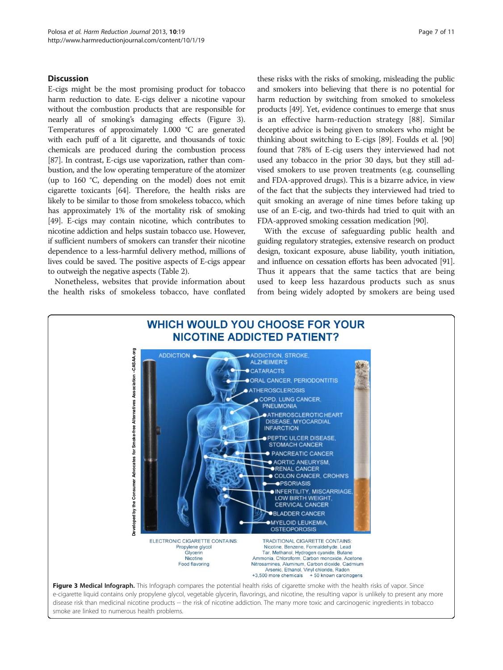# Discussion

E-cigs might be the most promising product for tobacco harm reduction to date. E-cigs deliver a nicotine vapour without the combustion products that are responsible for nearly all of smoking's damaging effects (Figure 3). Temperatures of approximately 1.000 °C are generated with each puff of a lit cigarette, and thousands of toxic chemicals are produced during the combustion process [[87](#page-10-0)]. In contrast, E-cigs use vaporization, rather than combustion, and the low operating temperature of the atomizer (up to 160 °C, depending on the model) does not emit cigarette toxicants [\[64\]](#page-9-0). Therefore, the health risks are likely to be similar to those from smokeless tobacco, which has approximately 1% of the mortality risk of smoking [[49](#page-9-0)]. E-cigs may contain nicotine, which contributes to nicotine addiction and helps sustain tobacco use. However, if sufficient numbers of smokers can transfer their nicotine dependence to a less-harmful delivery method, millions of lives could be saved. The positive aspects of E-cigs appear to outweigh the negative aspects (Table [2](#page-7-0)).

Nonetheless, websites that provide information about the health risks of smokeless tobacco, have conflated

these risks with the risks of smoking, misleading the public and smokers into believing that there is no potential for harm reduction by switching from smoked to smokeless products [\[49\]](#page-9-0). Yet, evidence continues to emerge that snus is an effective harm-reduction strategy [[88](#page-10-0)]. Similar deceptive advice is being given to smokers who might be thinking about switching to E-cigs [\[89\]](#page-10-0). Foulds et al. [[90](#page-10-0)] found that 78% of E-cig users they interviewed had not used any tobacco in the prior 30 days, but they still advised smokers to use proven treatments (e.g. counselling and FDA-approved drugs). This is a bizarre advice, in view of the fact that the subjects they interviewed had tried to quit smoking an average of nine times before taking up use of an E-cig, and two-thirds had tried to quit with an FDA-approved smoking cessation medication [\[90](#page-10-0)].

With the excuse of safeguarding public health and guiding regulatory strategies, extensive research on product design, toxicant exposure, abuse liability, youth initiation, and influence on cessation efforts has been advocated [\[91](#page-10-0)]. Thus it appears that the same tactics that are being used to keep less hazardous products such as snus from being widely adopted by smokers are being used



smoke are linked to numerous health problems.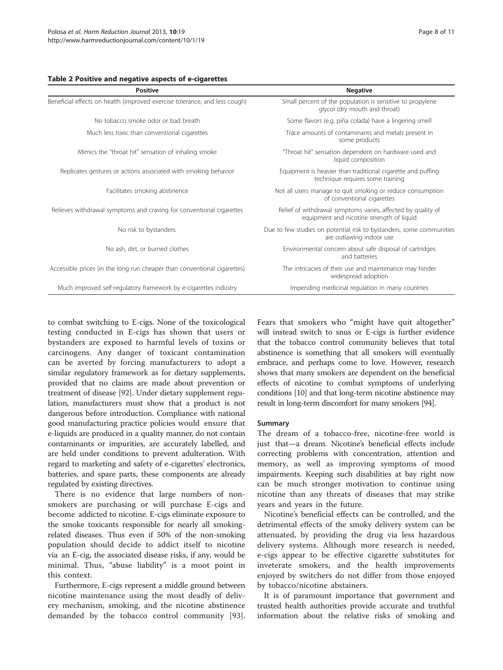#### <span id="page-7-0"></span>Table 2 Positive and negative aspects of e-cigarettes

| <b>Positive</b>                                                            | <b>Negative</b>                                                                                           |  |  |
|----------------------------------------------------------------------------|-----------------------------------------------------------------------------------------------------------|--|--|
| Beneficial effects on health (improved exercise tolerance, and less cough) | Small percent of the population is sensitive to propylene<br>glycol (dry mouth and throat)                |  |  |
| No tobacco smoke odor or bad breath                                        | Some flavors (e.g. piña colada) have a lingering smell                                                    |  |  |
| Much less toxic than conventional cigarettes                               | Trace amounts of contaminants and metals present in<br>some products                                      |  |  |
| Mimics the "throat hit" sensation of inhaling smoke                        | "Throat hit" sensation dependent on hardware used and<br>liquid composition                               |  |  |
| Replicates gestures or actions associated with smoking behavior            | Equipment is heavier than traditional cigarette and puffing<br>technique requires some training           |  |  |
| Facilitates smoking abstinence                                             | Not all users manage to quit smoking or reduce consumption<br>of conventional cigarettes                  |  |  |
| Relieves withdrawal symptoms and craving for conventional cigarettes       | Relief of withdrawal symptoms varies, affected by quality of<br>equipment and nicotine strength of liquid |  |  |
| No risk to bystanders.                                                     | Due to few studies on potential risk to bystanders, some communities<br>are outlawing indoor use          |  |  |
| No ash, dirt, or burned clothes                                            | Environmental concern about safe disposal of cartridges<br>and batteries                                  |  |  |
| Accessible prices (in the long run cheaper than conventional cigarettes)   | The intricacies of their use and maintenance may hinder<br>widespread adoption                            |  |  |
| Much improved self-regulatory framework by e-cigarettes industry           | Impending medicinal regulation in many countries                                                          |  |  |

to combat switching to E-cigs. None of the toxicological testing conducted in E-cigs has shown that users or bystanders are exposed to harmful levels of toxins or carcinogens. Any danger of toxicant contamination can be averted by forcing manufacturers to adopt a similar regulatory framework as for dietary supplements, provided that no claims are made about prevention or treatment of disease [\[92](#page-10-0)]. Under dietary supplement regulation, manufacturers must show that a product is not dangerous before introduction. Compliance with national good manufacturing practice policies would ensure that e-liquids are produced in a quality manner, do not contain contaminants or impurities, are accurately labelled, and are held under conditions to prevent adulteration. With regard to marketing and safety of e-cigarettes' electronics, batteries, and spare parts, these components are already regulated by existing directives.

There is no evidence that large numbers of nonsmokers are purchasing or will purchase E-cigs and become addicted to nicotine. E-cigs eliminate exposure to the smoke toxicants responsible for nearly all smokingrelated diseases. Thus even if 50% of the non-smoking population should decide to addict itself to nicotine via an E-cig, the associated disease risks, if any, would be minimal. Thus, "abuse liability" is a moot point in this context.

Furthermore, E-cigs represent a middle ground between nicotine maintenance using the most deadly of delivery mechanism, smoking, and the nicotine abstinence demanded by the tobacco control community [[93](#page-10-0)].

Fears that smokers who "might have quit altogether" will instead switch to snus or E-cigs is further evidence that the tobacco control community believes that total abstinence is something that all smokers will eventually embrace, and perhaps come to love. However, research shows that many smokers are dependent on the beneficial effects of nicotine to combat symptoms of underlying conditions [\[10\]](#page-8-0) and that long-term nicotine abstinence may result in long-term discomfort for many smokers [\[94\]](#page-10-0).

#### Summary

The dream of a tobacco-free, nicotine-free world is just that—a dream. Nicotine's beneficial effects include correcting problems with concentration, attention and memory, as well as improving symptoms of mood impairments. Keeping such disabilities at bay right now can be much stronger motivation to continue using nicotine than any threats of diseases that may strike years and years in the future.

Nicotine's beneficial effects can be controlled, and the detrimental effects of the smoky delivery system can be attenuated, by providing the drug via less hazardous delivery systems. Although more research is needed, e-cigs appear to be effective cigarette substitutes for inveterate smokers, and the health improvements enjoyed by switchers do not differ from those enjoyed by tobacco/nicotine abstainers.

It is of paramount importance that government and trusted health authorities provide accurate and truthful information about the relative risks of smoking and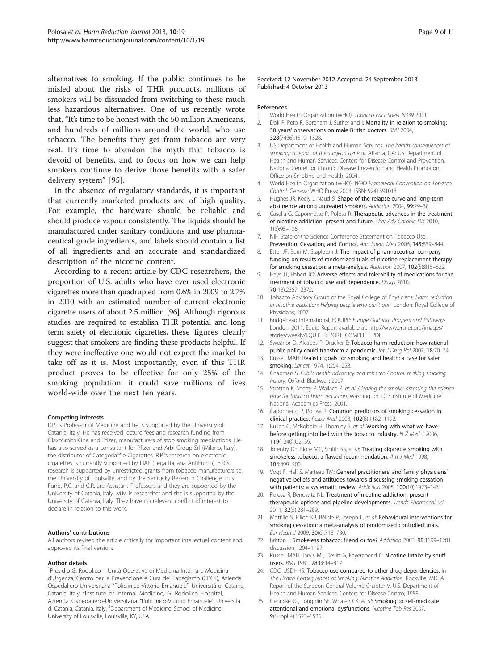<span id="page-8-0"></span>alternatives to smoking. If the public continues to be misled about the risks of THR products, millions of smokers will be dissuaded from switching to these much less hazardous alternatives. One of us recently wrote that, "It's time to be honest with the 50 million Americans, and hundreds of millions around the world, who use tobacco. The benefits they get from tobacco are very real. It's time to abandon the myth that tobacco is devoid of benefits, and to focus on how we can help smokers continue to derive those benefits with a safer delivery system" [\[95](#page-10-0)].

In the absence of regulatory standards, it is important that currently marketed products are of high quality. For example, the hardware should be reliable and should produce vapour consistently. The liquids should be manufactured under sanitary conditions and use pharmaceutical grade ingredients, and labels should contain a list of all ingredients and an accurate and standardized description of the nicotine content.

According to a recent article by CDC researchers, the proportion of U.S. adults who have ever used electronic cigarettes more than quadrupled from 0.6% in 2009 to 2.7% in 2010 with an estimated number of current electronic cigarette users of about 2.5 million [\[96\]](#page-10-0). Although rigorous studies are required to establish THR potential and long term safety of electronic cigarettes, these figures clearly suggest that smokers are finding these products helpful. If they were ineffective one would not expect the market to take off as it is. Most importantly, even if this THR product proves to be effective for only 25% of the smoking population, it could save millions of lives world-wide over the next ten years.

#### Competing interests

R.P. is Professor of Medicine and he is supported by the University of Catania, Italy. He has received lecture fees and research funding from GlaxoSmithKline and Pfizer, manufacturers of stop smoking mediactions. He has also served as a consultant for Pfizer and Arbi Group Srl (Milano, Italy), the distributor of Categoria™ e-Cigarettes. R.P.'s research on electronic cigarettes is currently supported by LIAF (Lega Italiana AntiFumo). B.R.'s research is supported by unrestricted grants from tobacco manufacturers to the University of Louisville, and by the Kentucky Research Challenge Trust Fund. P.C. and C.R. are Assistant Professors and they are supported by the University of Catania, Italy. M.M is researcher and she is supported by the University of Catania, Italy. They have no relevant conflict of interest to declare in relation to this work.

#### Authors' contributions

All authors revised the article critically for important intellectual content and approved its final version.

#### Author details

1 Presidio G. Rodolico – Unità Operativa di Medicina Interna e Medicina d'Urgenza, Centro per la Prevenzione e Cura del Tabagismo (CPCT), Azienda Ospedaliero-Universitaria "Policlinico-Vittorio Emanuele", Università di Catania, Catania, Italy. <sup>2</sup>Institute of Internal Medicine, G. Rodolico Hospital, Azienda Ospedaliero-Universitaria "Policlinico-Vittorio Emanuele", Università di Catania, Catania, Italy. <sup>3</sup>Department of Medicine, School of Medicine, University of Louisville, Louisville, KY, USA.

#### References

- 1. World Health Organization (WHO): Tobacco Fact Sheet N339 2011.
- 2. Doll R, Peto R, Boreham J, Sutherland I: Mortality in relation to smoking: 50 years' observations on male British doctors. BMJ 2004, 328(7436):1519–1528.
- 3. US Department of Health and Human Services: The health consequences of smoking: a report of the surgeon general. Atlanta, GA: US Department of Health and Human Services, Centers for Disease Control and Prevention, National Center for Chronic Disease Prevention and Health Promotion, Office on Smoking and Health; 2004.
- 4. World Health Organization (WHO): WHO Framework Convention on Tobacco Control. Geneva: WHO Press; 2003. ISBN: 9241591013.
- 5. Hughes JR, Keely J, Naud S: Shape of the relapse curve and long-term abstinence among untreated smokers. Addiction 2004, 99:29–38.
- 6. Casella G, Caponnetto P, Polosa R: Therapeutic advances in the treatment of nicotine addiction: present and future. Ther Adv Chronic Dis 2010, 1(3):95–106.
- 7. NIH State-of-the-Science Conference Statement on Tobacco Use: Prevention, Cessation, and Control. Ann Intern Med 2006, 145:839–844.
- 8. Etter JF, Burri M, Stapleton J: The impact of pharmaceutical company funding on results of randomized trials of nicotine replacement therapy for smoking cessation: a meta-analysis. Addiction 2007, 102(5):815–822.
- 9. Hays JT, Ebbert JO: Adverse effects and tolerability of medications for the treatment of tobacco use and dependence. Drugs 2010, 70(18):2357–2372.
- 10. Tobacco Advisory Group of the Royal College of Physicians: Harm reduction in nicotine addiction: Helping people who can't quit. London: Royal College of Physicians; 2007.
- 11. Bridgehead International, EQUIPP: Europe Quitting: Progress and Pathways. London; 2011. Equip Report available at: [http://www.ersnet.org/images/](http://www.ersnet.org/images/stories/weekly/EQUIP_REPORT_COMPLETE.PDF) [stories/weekly/EQUIP\\_REPORT\\_COMPLETE.PDF](http://www.ersnet.org/images/stories/weekly/EQUIP_REPORT_COMPLETE.PDF).
- 12. Sweanor D, Alcabes P, Drucker E: Tobacco harm reduction: how rational public policy could transform a pandemic. Int J Drug Pol 2007, 18:70-74.
- 13. Russell MAH: Realistic goals for smoking and health: a case for safer smoking. Lancet 1974, 1:254–258.
- 14. Chapman S: Public health advocacy and tobacco Control: making smoking history. Oxford: Blackwell; 2007.
- 15. Stratton K, Shetty P, Wallace R, et al: Clearing the smoke: assessing the science base for tobacco harm reduction. Washington, DC: Institute of Medicine National Academies Press; 2001.
- 16. Caponnetto P, Polosa R: Common predictors of smoking cessation in clinical practice. Respir Med 2008, 102(8):1182–1192.
- 17. Bullen C, McRobbie H, Thornley S, et al: Working with what we have before getting into bed with the tobacco industry. N Z Med J 2006, 119(1240):U2139.
- 18. Jorenby DE, Fiore MC, Smith SS, et al: Treating cigarette smoking with smokeless tobacco: a flawed recommendation. Am J Med 1998, 104:499–500.
- 19. Vogt F, Hall S, Marteau TM: General practitioners' and family physicians' negative beliefs and attitudes towards discussing smoking cessation with patients: a systematic review. Addiction 2005, 100(10):1423–1431.
- 20. Polosa R, Benowitz NL: Treatment of nicotine addiction: present therapeutic options and pipeline developments. Trends Pharmacol Sci 2011, 32(5):281–289.
- 21. Mottillo S, Filion KB, Bélisle P, Joseph L, et al: Behavioural interventions for smoking cessation: a meta-analysis of randomized controlled trials. Eur Heart J 2009, 30(6):718–730.
- 22. Britton J: Smokeless tobacco: friend or foe? Addiction 2003, 98:1199-1201. discussion 1204–1197.
- 23. Russell MAH, Jarvis MJ, Devitt G, Feyerabend C: Nicotine intake by snuff users. BMJ 1981, 283:814–817.
- 24. CDC, USDHHS: Tobacco use compared to other drug dependencies. In The Health Consequences of Smoking: Nicotine Addiction. Rockville, MD: A Report of the Surgeon General Volume Chapter V. U.S. Department of Health and Human Services, Centers for Disease Contro; 1988.
- 25. Gehricke JG, Loughlin SE, Whalen CK, et al: Smoking to self-medicate attentional and emotional dysfunctions. Nicotine Tob Res 2007, 9(Suppl 4):S523–S536.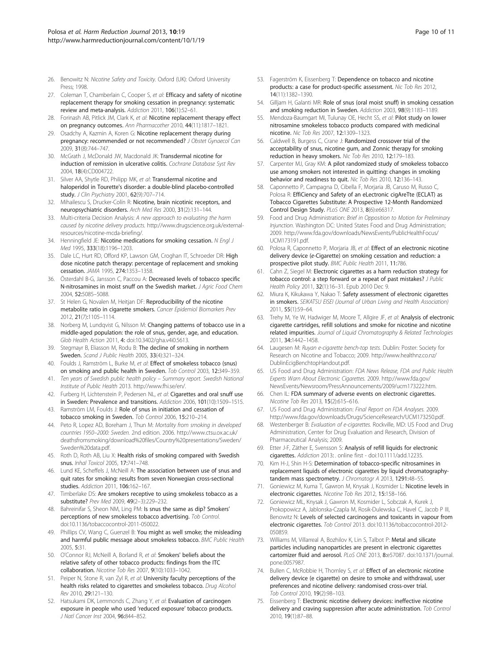- <span id="page-9-0"></span>26. Benowitz N: Nicotine Safety and Toxicity. Oxford (UK): Oxford University Press; 1998.
- 27. Coleman T, Chamberlain C, Cooper S, et al: Efficacy and safety of nicotine replacement therapy for smoking cessation in pregnancy: systematic review and meta-analysis. Addiction 2011, 106(1):52–61.
- 28. Forinash AB, Pitlick JM, Clark K, et al: Nicotine replacement therapy effect on pregnancy outcomes. Ann Pharmacother 2010, 44(11):1817–1821.
- 29. Osadchy A, Kazmin A, Koren G: Nicotine replacement therapy during pregnancy: recommended or not recommended? J Obstet Gynaecol Can 2009, 31(8):744–747.
- 30. McGrath J, McDonald JW, Macdonald JK: Transdermal nicotine for induction of remission in ulcerative colitis. Cochrane Database Syst Rev 2004, 18(4):CD004722.
- 31. Silver AA, Shytle RD, Philipp MK, et al: Transdermal nicotine and haloperidol in Tourette's disorder: a double-blind placebo-controlled study. J Clin Psychiatry 2001, 62(9):707–714.
- 32. Mihailescu S, Drucker-Colín R: Nicotine, brain nicotinic receptors, and neuropsychiatric disorders. Arch Med Res 2000, 31(2):131–144.
- 33. Multi-criteria Decision Analysis: A new approach to evaluating the harm caused by nicotine delivery products. [http://www.drugscience.org.uk/external](http://www.drugscience.org.uk/external-resources/nicotine-mcda-briefing/)[resources/nicotine-mcda-briefing/](http://www.drugscience.org.uk/external-resources/nicotine-mcda-briefing/).
- 34. Henningfield JE: Nicotine medications for smoking cessation. N Engl J Med 1995, 333(18):1196–1203.
- 35. Dale LC, Hurt RD, Offord KP, Lawson GM, Croghan IT, Schroeder DR: High dose nicotine patch therapy: percentage of replacement and smoking cessation. JAMA 1995, 274:1353–1358.
- 36. Österdahl B-G, Jansson C, Paccou A: Decreased levels of tobacco specific N-nitrosamines in moist snuff on the Swedish market. J Agric Food Chem 2004, 52:5085–5088.
- 37. St Helen G, Novalen M, Heitjan DF: Reproducibility of the nicotine metabolite ratio in cigarette smokers. Cancer Epidemiol Biomarkers Prev 2012, 21(7):1105–1114.
- 38. Norberg M, Lundqvist G, Nilsson M: Changing patterns of tobacco use in a middle-aged population: the role of snus, gender, age, and education. Glob Health Action 2011, 4: doi:10.3402/gha.v4i0.5613.
- 39. Stegmayr B, Eliasson M, Rodu B: The decline of smoking in northern Sweden. Scand J Public Health 2005, 33(4):321–324.
- 40. Foulds J, Ramström L, Burke M, et al: Effect of smokeless tobacco (snus) on smoking and public health in Sweden. Tob Control 2003, 12:349–359.
- 41. Ten years of Swedish public health policy Summary report. Swedish National Institute of Public Health 2013.<http://www.fhi.se/en/>.
- 42. Furberg H, Lichtenstein P, Pedersen NL, et al: Cigarettes and oral snuff use in Sweden: Prevalence and transitions. Addiction 2006, 101(10):1509–1515.
- 43. Ramström LM, Foulds J: Role of snus in initiation and cessation of tobacco smoking in Sweden. Tob Control 2006, 15:210–214.
- 44. Peto R, Lopez AD, Boreham J, Thun M: Mortality from smoking in developed countries 1950–2000: Sweden. 2nd edition. 2006. [http://www.ctsu.ox.ac.uk/](http://www.ctsu.ox.ac.uk/deathsfromsmoking/download%20files/Country%20presentations/Sweden/Sweden%20data.pdf) [deathsfromsmoking/download%20files/Country%20presentations/Sweden/](http://www.ctsu.ox.ac.uk/deathsfromsmoking/download%20files/Country%20presentations/Sweden/Sweden%20data.pdf) [Sweden%20data.pdf.](http://www.ctsu.ox.ac.uk/deathsfromsmoking/download%20files/Country%20presentations/Sweden/Sweden%20data.pdf)
- 45. Roth D, Roth AB, Liu X: Health risks of smoking compared with Swedish snus. Inhal Toxicol 2005, 17:741–748.
- 46. Lund KE, Scheffels J, McNeill A: The association between use of snus and quit rates for smoking: results from seven Norwegian cross-sectional studies. Addiction 2011, 106:162–167.
- 47. Timberlake DS: Are smokers receptive to using smokeless tobacco as a substitute? Prev Med 2009, 49(2–3):229–232.
- Bahreinifar S, Sheon NM, Ling PM: Is snus the same as dip? Smokers' perceptions of new smokeless tobacco advertising. Tob Control. doi:10.1136/tobaccocontrol-2011-050022.
- 49. Phillips CV, Wang C, Guenzel B: You might as well smoke; the misleading and harmful public message about smokeless tobacco. BMC Public Health 2005, 5:31.
- 50. O'Connor RJ, McNeill A, Borland R, et al: Smokers' beliefs about the relative safety of other tobacco products: findings from the ITC collaboration. Nicotine Tob Res 2007, 9(10):1033–1042.
- 51. Peiper N, Stone R, van Zyl R, et al: University faculty perceptions of the health risks related to cigarettes and smokeless tobacco. Drug Alcohol Rev 2010, 29:121–130.
- 52. Hatsukami DK, Lemmonds C, Zhang Y, et al: Evaluation of carcinogen exposure in people who used 'reduced exposure' tobacco products. J Natl Cancer Inst 2004, 96:844–852.
- 53. Fagerström K, Eissenberg T: Dependence on tobacco and nicotine products: a case for product-specific assessment. Nic Tob Res 2012, 14(11):1382–1390.
- 54. Gilljam H, Galanti MR: Role of snus (oral moist snuff) in smoking cessation and smoking reduction in Sweden. Addiction 2003, 98(9):1183–1189.
- 55. Mendoza-Baumgart MI, Tulunay OE, Hecht SS, et al: Pilot study on lower nitrosamine smokeless tobacco products compared with medicinal nicotine. Nic Tob Res 2007, 12:1309–1323.
- 56. Caldwell B, Burgess C, Crane J: Randomized crossover trial of the acceptability of snus, nicotine gum, and Zonnic therapy for smoking reduction in heavy smokers. Nic Tob Res 2010, 12:179–183.
- 57. Carpenter MJ, Gray KM: A pilot randomized study of smokeless tobacco use among smokers not interested in quitting: changes in smoking behavior and readiness to quit. Nic Tob Res 2010, 12:136–143.
- 58. Caponnetto P, Campagna D, Cibella F, Morjaria JB, Caruso M, Russo C, Polosa R: EffiCiency and Safety of an eLectronic cigAreTte (ECLAT) as Tobacco Cigarettes Substitute: A Prospective 12-Month Randomized Control Design Study. PLoS ONE 2013, 8(6):e66317.
- 59. Food and Drug Administration: Brief in Opposition to Motion for Preliminary Injunction. Washington DC: United States Food and Drug Administration; 2009. [http://www.fda.gov/downloads/NewsEvents/PublicHealthFocus/](http://www.fda.gov/downloads/NewsEvents/PublicHealthFocus/UCM173191.pdf) [UCM173191.pdf.](http://www.fda.gov/downloads/NewsEvents/PublicHealthFocus/UCM173191.pdf)
- 60. Polosa R, Caponnetto P, Morjaria JB, et al: Effect of an electronic nicotine delivery device (e-Cigarette) on smoking cessation and reduction: a prospective pilot study. BMC Public Health 2011, 11:786.
- 61. Cahn Z, Siegel M: Electronic cigarettes as a harm reduction strategy for tobacco control: a step forward or a repeat of past mistakes? J Public Health Policy 2011, 32(1):16–31. Epub 2010 Dec 9.
- 62. Miura K, Kikukawa Y, Nakao T: Safety assessment of electronic cigarettes in smokers. SEIKATSU EISEI (Journal of Urban Living and Health Association) 2011, 55(1):59–64.
- 63. Trehy M, Ye W, Hadwiger M, Moore T, Allgire JF, et al: Analysis of electronic cigarette cartridges, refill solutions and smoke for nicotine and nicotine related impurities. Journal of Liquid Chromatography & Related Technologies 2011, 34:1442–1458.
- Laugesen M: Ruyan e-cigarette bench-top tests. Dublin: Poster: Society for Research on Nicotine and Tobacco; 2009. [http://www.healthnz.co.nz/](http://www.healthnz.co.nz/DublinEcigBenchtopHandout.pdf) [DublinEcigBenchtopHandout.pdf.](http://www.healthnz.co.nz/DublinEcigBenchtopHandout.pdf)
- 65. US Food and Drug Administration: FDA News Release, FDA and Public Health Experts Warn About Electronic Cigarettes. 2009. [http://www.fda.gov/](http://www.fda.gov/NewsEvents/Newsroom/PressAnnouncements/2009/ucm173222.htm) [NewsEvents/Newsroom/PressAnnouncements/2009/ucm173222.htm.](http://www.fda.gov/NewsEvents/Newsroom/PressAnnouncements/2009/ucm173222.htm)
- 66. Chen IL: FDA summary of adverse events on electronic cigarettes. Nicotine Tob Res 2013, 15(2):615–616.
- 67. US Food and Drug Administration: Final Report on FDA Analyses. 2009. <http://www.fda.gov/downloads/Drugs/ScienceResearch/UCM173250.pdf>.
- 68. Westenberger B: Evaluation of e-cigarettes. Rockville, MD: US Food and Drug Administration, Center for Drug Evaluation and Research, Division of Pharmaceutical Analysis; 2009.
- 69. Etter J-F, Zäther E, Svensson S: Analysis of refill liquids for electronic cigarettes. Addiction 2013: . online first - doi:10.1111/add.12235.
- 70. Kim H-J, Shin H-S: Determination of tobacco-specific nitrosamines in replacement liquids of electronic cigarettes by liquid chromatographytandem mass spectrometry. J Chromatogr A 2013, 1291:48-55.
- 71. Goniewicz M, Kuma T, Gawron M, Knysak J, Kosmider L: Nicotine levels in electronic cigarettes. Nicotine Tob Res 2012, 15:158–166.
- 72. Goniewicz ML, Knysak J, Gawron M, Kosmider L, Sobczak A, Kurek J, Prokopowicz A, Jablonska-Czapla M, Rosik-Dulewska C, Havel C, Jacob P III, Benowitz N: Levels of selected carcinogens and toxicants in vapour from electronic cigarettes. Tob Control 2013. doi:10.1136/tobaccocontrol-2012- 050859.
- 73. Williams M, Villarreal A, Bozhilov K, Lin S, Talbot P: Metal and silicate particles including nanoparticles are present in electronic cigarettes cartomizer fluid and aerosol. PLoS ONE 2013, 8:e57087. doi:10.1371/journal. pone.0057987.
- 74. Bullen C, McRobbie H, Thornley S, et al: Effect of an electronic nicotine delivery device (e cigarette) on desire to smoke and withdrawal, user preferences and nicotine delivery: randomised cross-over trial. Tob Control 2010, 19(2):98–103.
- 75. Eissenberg T: Electronic nicotine delivery devices: ineffective nicotine delivery and craving suppression after acute administration. Tob Control 2010, 19(1):87–88.